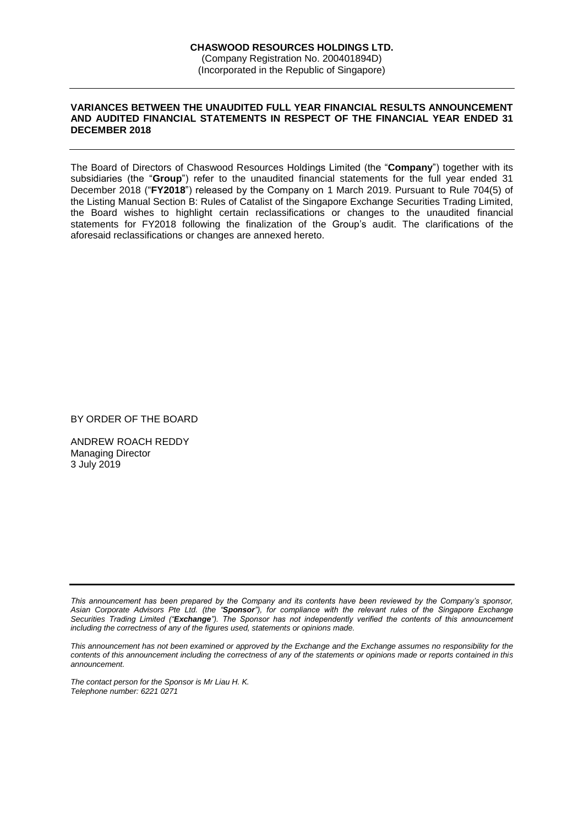#### **VARIANCES BETWEEN THE UNAUDITED FULL YEAR FINANCIAL RESULTS ANNOUNCEMENT AND AUDITED FINANCIAL STATEMENTS IN RESPECT OF THE FINANCIAL YEAR ENDED 31 DECEMBER 2018**

The Board of Directors of Chaswood Resources Holdings Limited (the "**Company**") together with its subsidiaries (the "**Group**") refer to the unaudited financial statements for the full year ended 31 December 2018 ("**FY2018**") released by the Company on 1 March 2019. Pursuant to Rule 704(5) of the Listing Manual Section B: Rules of Catalist of the Singapore Exchange Securities Trading Limited, the Board wishes to highlight certain reclassifications or changes to the unaudited financial statements for FY2018 following the finalization of the Group's audit. The clarifications of the aforesaid reclassifications or changes are annexed hereto.

BY ORDER OF THE BOARD

ANDREW ROACH REDDY Managing Director 3 July 2019

*This announcement has not been examined or approved by the Exchange and the Exchange assumes no responsibility for the contents of this announcement including the correctness of any of the statements or opinions made or reports contained in this announcement.*

*The contact person for the Sponsor is Mr Liau H. K. Telephone number: 6221 0271*

*This announcement has been prepared by the Company and its contents have been reviewed by the Company's sponsor, Asian Corporate Advisors Pte Ltd. (the "Sponsor"), for compliance with the relevant rules of the Singapore Exchange Securities Trading Limited ("Exchange"). The Sponsor has not independently verified the contents of this announcement including the correctness of any of the figures used, statements or opinions made.*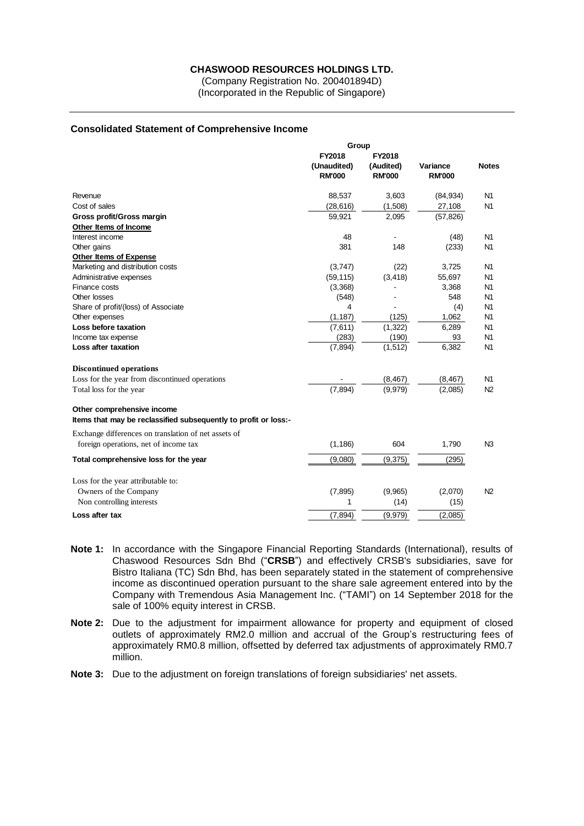#### **CHASWOOD RESOURCES HOLDINGS LTD.**

(Company Registration No. 200401894D) (Incorporated in the Republic of Singapore)

#### **Consolidated Statement of Comprehensive Income**

|                                                                 | Group                                  |                                      | Variance<br><b>RM'000</b> | <b>Notes</b>   |
|-----------------------------------------------------------------|----------------------------------------|--------------------------------------|---------------------------|----------------|
|                                                                 | FY2018<br>(Unaudited)<br><b>RM'000</b> | FY2018<br>(Audited)<br><b>RM'000</b> |                           |                |
| Revenue                                                         | 88,537                                 | 3,603                                | (84, 934)                 | N <sub>1</sub> |
| Cost of sales                                                   | (28, 616)                              | (1,508)                              | 27,108                    | N <sub>1</sub> |
| Gross profit/Gross margin                                       | 59,921                                 | 2,095                                | (57, 826)                 |                |
| Other Items of Income                                           |                                        |                                      |                           |                |
| Interest income                                                 | 48                                     | $\overline{\phantom{a}}$             | (48)                      | N <sub>1</sub> |
| Other gains                                                     | 381                                    | 148                                  | (233)                     | N <sub>1</sub> |
| Other Items of Expense                                          |                                        |                                      |                           |                |
| Marketing and distribution costs                                | (3,747)                                | (22)                                 | 3,725                     | N <sub>1</sub> |
| Administrative expenses                                         | (59, 115)                              | (3, 418)                             | 55,697                    | N <sub>1</sub> |
| Finance costs                                                   | (3,368)                                |                                      | 3,368                     | N1             |
| Other losses                                                    | (548)                                  |                                      | 548                       | N <sub>1</sub> |
| Share of profit/(loss) of Associate                             | 4                                      |                                      | (4)                       | N <sub>1</sub> |
| Other expenses                                                  | (1, 187)                               | (125)                                | 1,062                     | N <sub>1</sub> |
| Loss before taxation                                            | (7,611)                                | (1, 322)                             | 6,289                     | N <sub>1</sub> |
| Income tax expense                                              | (283)                                  | (190)                                | 93                        | N <sub>1</sub> |
| Loss after taxation                                             | (7, 894)                               | (1, 512)                             | 6,382                     | N <sub>1</sub> |
| <b>Discontinued operations</b>                                  |                                        |                                      |                           |                |
| Loss for the year from discontinued operations                  |                                        | (8, 467)                             | (8, 467)                  | N <sub>1</sub> |
| Total loss for the year                                         | (7, 894)                               | (9,979)                              | (2,085)                   | N2             |
| Other comprehensive income                                      |                                        |                                      |                           |                |
| Items that may be reclassified subsequently to profit or loss:- |                                        |                                      |                           |                |
| Exchange differences on translation of net assets of            |                                        |                                      |                           |                |
| foreign operations, net of income tax                           | (1, 186)                               | 604                                  | 1,790                     | N <sub>3</sub> |
| Total comprehensive loss for the year                           | (9,080)                                | (9,375)                              | (295)                     |                |
| Loss for the year attributable to:                              |                                        |                                      |                           |                |
| Owners of the Company                                           | (7, 895)                               | (9,965)                              | (2,070)                   | N <sub>2</sub> |
| Non controlling interests                                       | 1                                      | (14)                                 | (15)                      |                |
| Loss after tax                                                  | (7, 894)                               | (9,979)                              | (2,085)                   |                |

- **Note 1:** In accordance with the Singapore Financial Reporting Standards (International), results of Chaswood Resources Sdn Bhd ("**CRSB**") and effectively CRSB's subsidiaries, save for Bistro Italiana (TC) Sdn Bhd, has been separately stated in the statement of comprehensive income as discontinued operation pursuant to the share sale agreement entered into by the Company with Tremendous Asia Management Inc. ("TAMI") on 14 September 2018 for the sale of 100% equity interest in CRSB.
- **Note 2:** Due to the adjustment for impairment allowance for property and equipment of closed outlets of approximately RM2.0 million and accrual of the Group's restructuring fees of approximately RM0.8 million, offsetted by deferred tax adjustments of approximately RM0.7 million.
- **Note 3:** Due to the adjustment on foreign translations of foreign subsidiaries' net assets.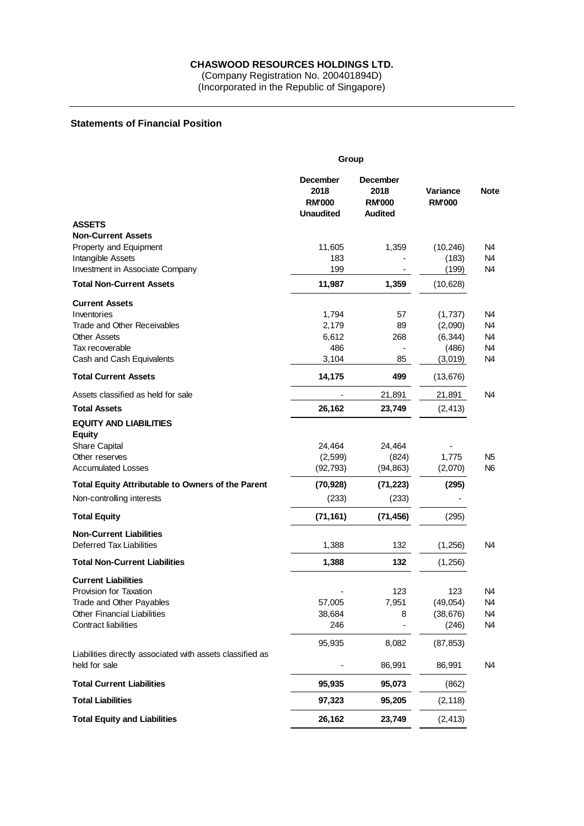## **CHASWOOD RESOURCES HOLDINGS LTD.**

(Company Registration No. 200401894D) (Incorporated in the Republic of Singapore)

## **Statements of Financial Position**

|                                                                            | Group                                                        |                                                            |                           |             |  |
|----------------------------------------------------------------------------|--------------------------------------------------------------|------------------------------------------------------------|---------------------------|-------------|--|
|                                                                            | <b>December</b><br>2018<br><b>RM'000</b><br><b>Unaudited</b> | <b>December</b><br>2018<br><b>RM'000</b><br><b>Audited</b> | Variance<br><b>RM'000</b> | <b>Note</b> |  |
| <b>ASSETS</b>                                                              |                                                              |                                                            |                           |             |  |
| <b>Non-Current Assets</b>                                                  |                                                              |                                                            |                           |             |  |
| Property and Equipment                                                     | 11,605                                                       | 1,359                                                      | (10, 246)                 | N4          |  |
| Intangible Assets                                                          | 183                                                          |                                                            | (183)                     | N4          |  |
| Investment in Associate Company                                            | 199                                                          |                                                            | (199)                     | N4          |  |
| <b>Total Non-Current Assets</b>                                            | 11,987                                                       | 1,359                                                      | (10, 628)                 |             |  |
| <b>Current Assets</b>                                                      |                                                              |                                                            |                           |             |  |
| Inventories                                                                | 1,794                                                        | 57                                                         | (1,737)                   | N4          |  |
| Trade and Other Receivables                                                | 2,179                                                        | 89                                                         | (2,090)                   | N4          |  |
| <b>Other Assets</b>                                                        | 6,612<br>486                                                 | 268                                                        | (6, 344)                  | N4<br>N4    |  |
| Tax recoverable<br>Cash and Cash Equivalents                               | 3,104                                                        | 85                                                         | (486)<br>(3,019)          | N4          |  |
| <b>Total Current Assets</b>                                                | 14,175                                                       | 499                                                        | (13, 676)                 |             |  |
|                                                                            |                                                              |                                                            |                           |             |  |
| Assets classified as held for sale<br><b>Total Assets</b>                  |                                                              | 21,891                                                     | 21,891                    | N4          |  |
| <b>EQUITY AND LIABILITIES</b>                                              | 26,162                                                       | 23,749                                                     | (2, 413)                  |             |  |
| <b>Equity</b>                                                              |                                                              |                                                            |                           |             |  |
| <b>Share Capital</b>                                                       | 24,464                                                       | 24,464                                                     |                           |             |  |
| Other reserves                                                             | (2, 599)                                                     | (824)                                                      | 1,775                     | N5          |  |
| <b>Accumulated Losses</b>                                                  | (92, 793)                                                    | (94, 863)                                                  | (2,070)                   | N6          |  |
| <b>Total Equity Attributable to Owners of the Parent</b>                   | (70, 928)                                                    | (71, 223)                                                  | (295)                     |             |  |
| Non-controlling interests                                                  | (233)                                                        | (233)                                                      |                           |             |  |
| <b>Total Equity</b>                                                        | (71, 161)                                                    | (71, 456)                                                  | (295)                     |             |  |
| <b>Non-Current Liabilities</b>                                             |                                                              |                                                            |                           |             |  |
| <b>Deferred Tax Liabilities</b>                                            | 1,388                                                        | 132                                                        | (1,256)                   | N4          |  |
| <b>Total Non-Current Liabilities</b>                                       | 1,388                                                        | 132                                                        | (1,256)                   |             |  |
| <b>Current Liabilities</b>                                                 |                                                              |                                                            |                           |             |  |
| Provision for Taxation                                                     |                                                              | 123                                                        | 123                       | N4          |  |
| Trade and Other Payables                                                   | 57,005                                                       | 7,951                                                      | (49, 054)                 | N4          |  |
| Other Financial Liabilities                                                | 38,684                                                       | 8                                                          | (38, 676)                 | N4          |  |
| <b>Contract liabilities</b>                                                | 246                                                          |                                                            | (246)                     | N4          |  |
|                                                                            | 95,935                                                       | 8,082                                                      | (87, 853)                 |             |  |
| Liabilities directly associated with assets classified as<br>held for sale |                                                              | 86,991                                                     | 86,991                    | N4          |  |
|                                                                            |                                                              |                                                            |                           |             |  |
| <b>Total Current Liabilities</b>                                           | 95,935                                                       | 95,073                                                     | (862)                     |             |  |
| <b>Total Liabilities</b>                                                   | 97,323                                                       | 95,205                                                     | (2, 118)                  |             |  |
| <b>Total Equity and Liabilities</b>                                        | 26,162                                                       | 23,749                                                     | (2, 413)                  |             |  |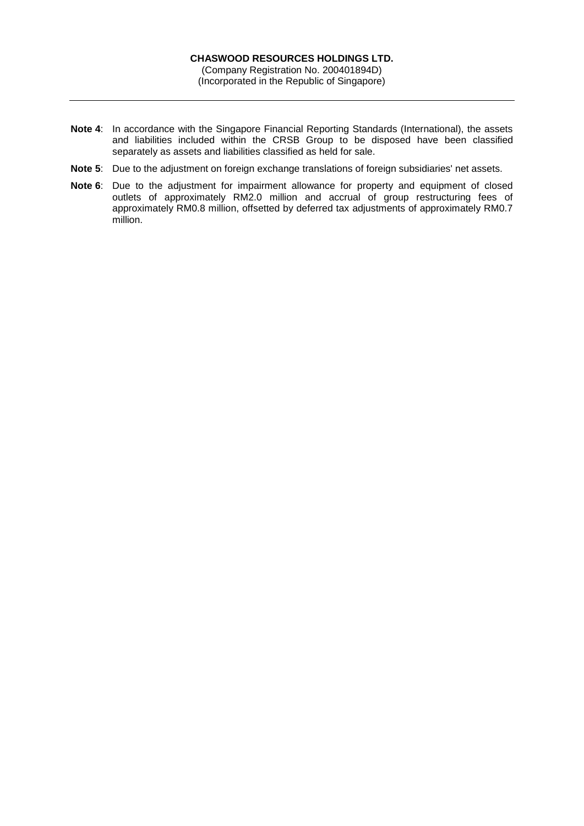- **Note 4**: In accordance with the Singapore Financial Reporting Standards (International), the assets and liabilities included within the CRSB Group to be disposed have been classified separately as assets and liabilities classified as held for sale.
- **Note 5**: Due to the adjustment on foreign exchange translations of foreign subsidiaries' net assets.
- **Note 6**: Due to the adjustment for impairment allowance for property and equipment of closed outlets of approximately RM2.0 million and accrual of group restructuring fees of approximately RM0.8 million, offsetted by deferred tax adjustments of approximately RM0.7 million.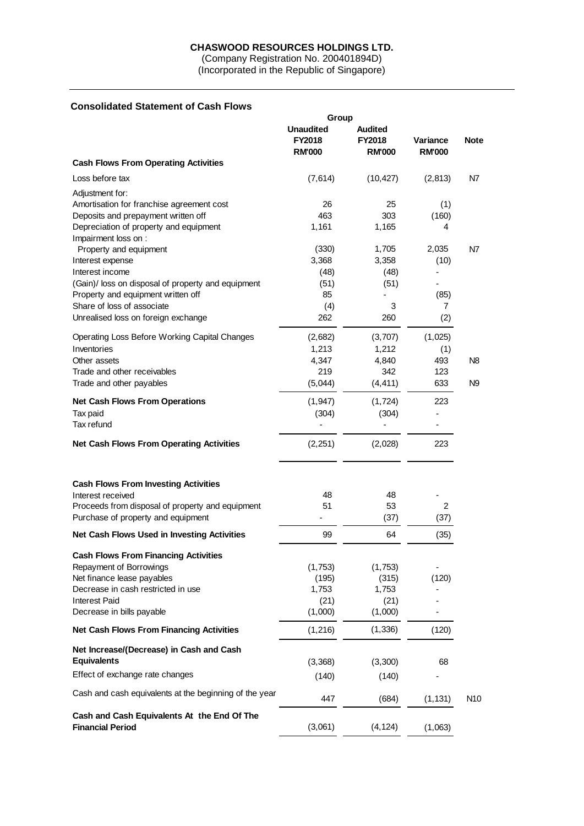#### **CHASWOOD RESOURCES HOLDINGS LTD.**

(Company Registration No. 200401894D) (Incorporated in the Republic of Singapore)

# **Consolidated Statement of Cash Flows**

|                                                                                                                                                            | Group                                              |                                                  |                                  |                 |  |
|------------------------------------------------------------------------------------------------------------------------------------------------------------|----------------------------------------------------|--------------------------------------------------|----------------------------------|-----------------|--|
|                                                                                                                                                            | <b>Unaudited</b><br><b>FY2018</b><br><b>RM'000</b> | <b>Audited</b><br><b>FY2018</b><br><b>RM'000</b> | <b>Variance</b><br><b>RM'000</b> | <b>Note</b>     |  |
| <b>Cash Flows From Operating Activities</b>                                                                                                                |                                                    |                                                  |                                  |                 |  |
| Loss before tax                                                                                                                                            | (7,614)                                            | (10, 427)                                        | (2, 813)                         | N7              |  |
| Adjustment for:                                                                                                                                            |                                                    |                                                  |                                  |                 |  |
| Amortisation for franchise agreement cost                                                                                                                  | 26                                                 | 25                                               | (1)                              |                 |  |
| Deposits and prepayment written off                                                                                                                        | 463                                                | 303                                              | (160)                            |                 |  |
| Depreciation of property and equipment                                                                                                                     | 1,161                                              | 1,165                                            | 4                                |                 |  |
| Impairment loss on :                                                                                                                                       |                                                    |                                                  |                                  |                 |  |
| Property and equipment                                                                                                                                     | (330)                                              | 1,705                                            | 2,035                            | N7              |  |
| Interest expense                                                                                                                                           | 3,368                                              | 3,358                                            | (10)                             |                 |  |
| Interest income                                                                                                                                            | (48)                                               | (48)                                             | ÷,                               |                 |  |
| (Gain)/ loss on disposal of property and equipment                                                                                                         | (51)                                               | (51)                                             |                                  |                 |  |
| Property and equipment written off                                                                                                                         | 85                                                 |                                                  | (85)                             |                 |  |
| Share of loss of associate                                                                                                                                 | (4)                                                | 3                                                | 7                                |                 |  |
| Unrealised loss on foreign exchange                                                                                                                        | 262                                                | 260                                              | (2)                              |                 |  |
| <b>Operating Loss Before Working Capital Changes</b>                                                                                                       | (2,682)                                            | (3,707)                                          | (1,025)                          |                 |  |
| Inventories                                                                                                                                                | 1,213                                              | 1,212                                            | (1)                              |                 |  |
| Other assets                                                                                                                                               | 4,347                                              | 4,840                                            | 493                              | N <sub>8</sub>  |  |
| Trade and other receivables                                                                                                                                | 219                                                | 342                                              | 123                              |                 |  |
| Trade and other payables                                                                                                                                   | (5,044)                                            | (4, 411)                                         | 633                              | N <sub>9</sub>  |  |
| <b>Net Cash Flows From Operations</b>                                                                                                                      | (1, 947)                                           | (1,724)                                          | 223                              |                 |  |
| Tax paid                                                                                                                                                   | (304)                                              | (304)                                            |                                  |                 |  |
| Tax refund                                                                                                                                                 |                                                    |                                                  |                                  |                 |  |
| <b>Net Cash Flows From Operating Activities</b>                                                                                                            | (2,251)                                            | (2,028)                                          | 223                              |                 |  |
| <b>Cash Flows From Investing Activities</b><br>Interest received<br>Proceeds from disposal of property and equipment<br>Purchase of property and equipment | 48<br>51<br>٠                                      | 48<br>53<br>(37)                                 | 2<br>(37)                        |                 |  |
| Net Cash Flows Used in Investing Activities                                                                                                                | 99                                                 | 64                                               | (35)                             |                 |  |
|                                                                                                                                                            |                                                    |                                                  |                                  |                 |  |
| <b>Cash Flows From Financing Activities</b><br>Repayment of Borrowings                                                                                     | (1,753)                                            |                                                  |                                  |                 |  |
| Net finance lease payables                                                                                                                                 | (195)                                              | (1,753)<br>(315)                                 | (120)                            |                 |  |
| Decrease in cash restricted in use                                                                                                                         | 1,753                                              | 1,753                                            |                                  |                 |  |
| <b>Interest Paid</b>                                                                                                                                       | (21)                                               |                                                  |                                  |                 |  |
| Decrease in bills payable                                                                                                                                  | (1,000)                                            | (21)<br>(1,000)                                  |                                  |                 |  |
|                                                                                                                                                            |                                                    |                                                  |                                  |                 |  |
| <b>Net Cash Flows From Financing Activities</b>                                                                                                            | (1,216)                                            | (1, 336)                                         | (120)                            |                 |  |
| Net Increase/(Decrease) in Cash and Cash                                                                                                                   |                                                    |                                                  |                                  |                 |  |
| <b>Equivalents</b>                                                                                                                                         | (3,368)                                            | (3,300)                                          | 68                               |                 |  |
| Effect of exchange rate changes                                                                                                                            | (140)                                              | (140)                                            |                                  |                 |  |
| Cash and cash equivalents at the beginning of the year                                                                                                     | 447                                                | (684)                                            | (1, 131)                         | N <sub>10</sub> |  |
| Cash and Cash Equivalents At the End Of The                                                                                                                |                                                    |                                                  |                                  |                 |  |
| <b>Financial Period</b>                                                                                                                                    | (3,061)                                            | (4, 124)                                         | (1,063)                          |                 |  |